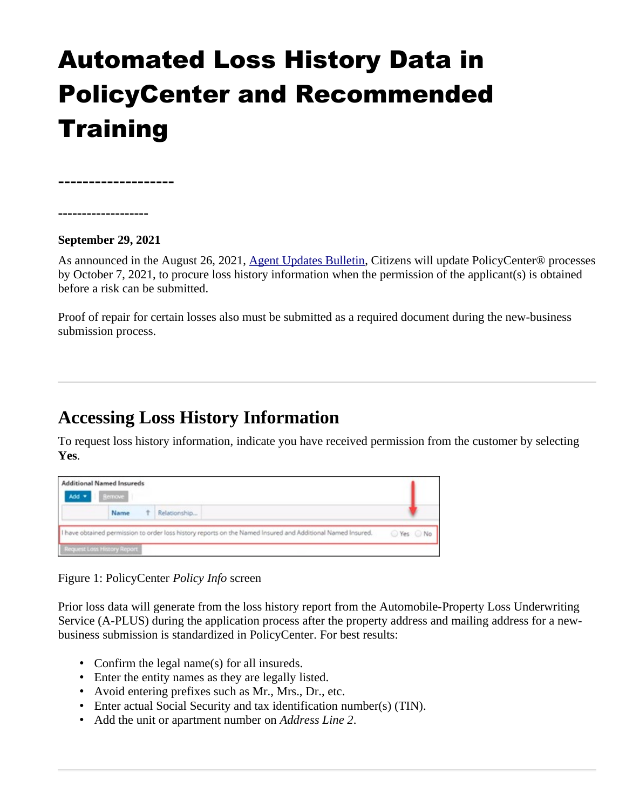# Automated Loss History Data in PolicyCenter and Recommended **Training**

**-------------------**

**-------------------**

#### **September 29, 2021**

As announced in the August 26, 2021, [Agent Updates Bulletin](https://www.citizensfla.com/-/20210826-coming-soon-automated-loss-history-data-in-policycenter), Citizens will update PolicyCenter® processes by October 7, 2021, to procure loss history information when the permission of the applicant(s) is obtained before a risk can be submitted.

Proof of repair for certain losses also must be submitted as a required document during the new-business submission process.

# **Accessing Loss History Information**

To request loss history information, indicate you have received permission from the customer by selecting **Yes**.

| <b>Additional Named Insureds</b><br>Add *                                                                   | Bemove |   |              |  |
|-------------------------------------------------------------------------------------------------------------|--------|---|--------------|--|
|                                                                                                             | Name   | Ť | Relationship |  |
| I have obtained permission to order loss history reports on the Named Insured and Additional Named Insured. |        |   | ⊙ Yes ⊙ No   |  |
| <b>Request Loss History Report</b>                                                                          |        |   |              |  |

Figure 1: PolicyCenter *Policy Info* screen

Prior loss data will generate from the loss history report from the Automobile-Property Loss Underwriting Service (A-PLUS) during the application process after the property address and mailing address for a newbusiness submission is standardized in PolicyCenter. For best results:

- Confirm the legal name(s) for all insureds.
- Enter the entity names as they are legally listed.
- Avoid entering prefixes such as Mr., Mrs., Dr., etc.
- Enter actual Social Security and tax identification number(s) (TIN).
- Add the unit or apartment number on *Address Line 2*.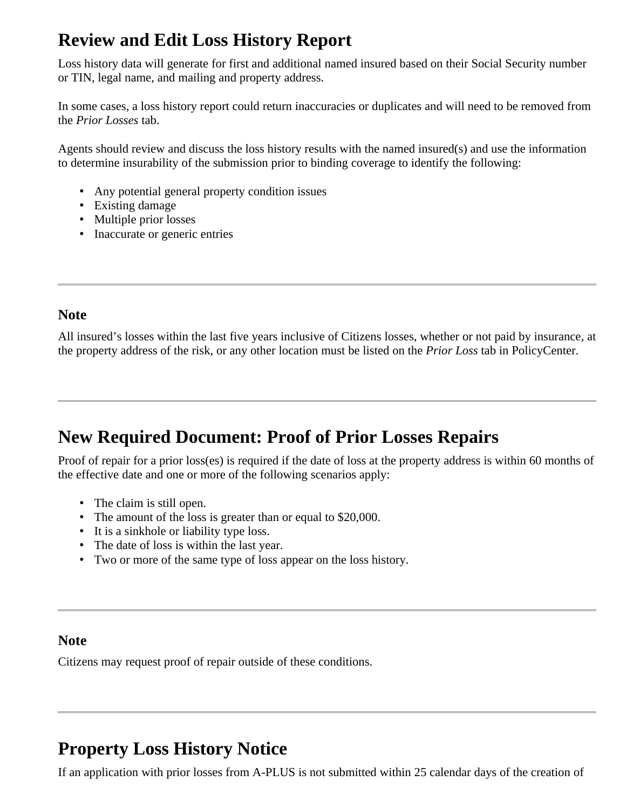# **Review and Edit Loss History Report**

Loss history data will generate for first and additional named insured based on their Social Security number or TIN, legal name, and mailing and property address.

In some cases, a loss history report could return inaccuracies or duplicates and will need to be removed from the *Prior Losses* tab.

Agents should review and discuss the loss history results with the named insured(s) and use the information to determine insurability of the submission prior to binding coverage to identify the following:

- Any potential general property condition issues
- Existing damage
- Multiple prior losses
- Inaccurate or generic entries

#### **Note**

All insured's losses within the last five years inclusive of Citizens losses, whether or not paid by insurance, at the property address of the risk, or any other location must be listed on the *Prior Loss* tab in PolicyCenter.

### **New Required Document: Proof of Prior Losses Repairs**

Proof of repair for a prior loss(es) is required if the date of loss at the property address is within 60 months of the effective date and one or more of the following scenarios apply:

- The claim is still open.
- The amount of the loss is greater than or equal to \$20,000.
- It is a sinkhole or liability type loss.
- The date of loss is within the last year.
- Two or more of the same type of loss appear on the loss history.

#### **Note**

Citizens may request proof of repair outside of these conditions.

# **Property Loss History Notice**

If an application with prior losses from A-PLUS is not submitted within 25 calendar days of the creation of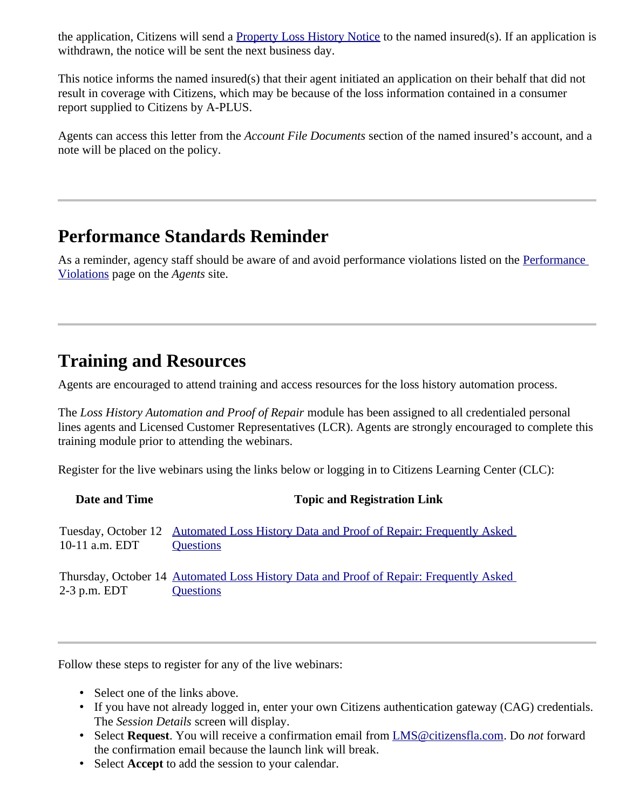the application, Citizens will send a [Property Loss History Notice](https://www.citizensfla.com/documents/20702/20066996/Property+Loss+History+Notice.pdf/abec18c0-787f-a883-c7bd-f839f1c4ca6b?t=1632493425228) to the named insured(s). If an application is withdrawn, the notice will be sent the next business day.

This notice informs the named insured(s) that their agent initiated an application on their behalf that did not result in coverage with Citizens, which may be because of the loss information contained in a consumer report supplied to Citizens by A-PLUS.

Agents can access this letter from the *Account File Documents* section of the named insured's account, and a note will be placed on the policy.

### **Performance Standards Reminder**

As a reminder, agency staff should be aware of and avoid performance violations listed on the Performance [Violations](https://www.citizensfla.com/group/agents/performance-violations) page on the *Agents* site.

### **Training and Resources**

Agents are encouraged to attend training and access resources for the loss history automation process.

The *Loss History Automation and Proof of Repair* module has been assigned to all credentialed personal lines agents and Licensed Customer Representatives (LCR). Agents are strongly encouraged to complete this training module prior to attending the webinars.

Register for the live webinars using the links below or logging in to Citizens Learning Center (CLC):

| Date and Time    | <b>Topic and Registration Link</b>                                                                  |
|------------------|-----------------------------------------------------------------------------------------------------|
| 10-11 a.m. EDT   | Tuesday, October 12 Automated Loss History Data and Proof of Repair: Frequently Asked<br>Questions  |
| $2-3$ p.m. $EDT$ | Thursday, October 14 Automated Loss History Data and Proof of Repair: Frequently Asked<br>Questions |

Follow these steps to register for any of the live webinars:

- Select one of the links above.
- If you have not already logged in, enter your own Citizens authentication gateway (CAG) credentials. The *Session Details* screen will display.
- Select **Request**. You will receive a confirmation email from [LMS@citizensfla.com.](mailto:LMS@citizensfla.com) Do *not* forward the confirmation email because the launch link will break.
- Select **Accept** to add the session to your calendar.